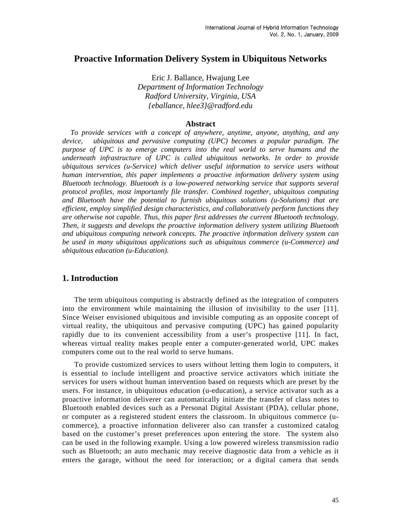# **Proactive Information Delivery System in Ubiquitous Networks**

Eric J. Ballance, Hwajung Lee *Department of Information Technology Radford University, Virginia, USA {eballance, hlee3}@radford.edu* 

#### **Abstract**

*To provide services with a concept of anywhere, anytime, anyone, anything, and any device, ubiquitous and pervasive computing (UPC) becomes a popular paradigm. The purpose of UPC is to emerge computers into the real world to serve humans and the underneath infrastructure of UPC is called ubiquitous networks. In order to provide ubiquitous services (u-Service) which deliver useful information to service users without human intervention, this paper implements a proactive information delivery system using Bluetooth technology. Bluetooth is a low-powered networking service that supports several protocol profiles, most importantly file transfer. Combined together, ubiquitous computing and Bluetooth have the potential to furnish ubiquitous solutions (u-Solutions) that are efficient, employ simplified design characteristics, and collaboratively perform functions they are otherwise not capable. Thus, this paper first addresses the current Bluetooth technology. Then, it suggests and develops the proactive information delivery system utilizing Bluetooth and ubiquitous computing network concepts. The proactive information delivery system can be used in many ubiquitous applications such as ubiquitous commerce (u-Commerce) and ubiquitous education (u-Education).* 

### **1. Introduction**

The term ubiquitous computing is abstractly defined as the integration of computers into the environment while maintaining the illusion of invisibility to the user [11]. Since Weiser envisioned ubiquitous and invisible computing as an opposite concept of virtual reality, the ubiquitous and pervasive computing (UPC) has gained popularity rapidly due to its convenient accessibility from a user's prospective [11]. In fact, whereas virtual reality makes people enter a computer-generated world, UPC makes computers come out to the real world to serve humans.

To provide customized services to users without letting them login to computers, it is essential to include intelligent and proactive service activators which initiate the services for users without human intervention based on requests which are preset by the users. For instance, in ubiquitous education (u-education), a service activator such as a proactive information deliverer can automatically initiate the transfer of class notes to Bluetooth enabled devices such as a Personal Digital Assistant (PDA), cellular phone, or computer as a registered student enters the classroom. In ubiquitous commerce (ucommerce), a proactive information deliverer also can transfer a customized catalog based on the customer's preset preferences upon entering the store. The system also can be used in the following example. Using a low powered wireless transmission radio such as Bluetooth; an auto mechanic may receive diagnostic data from a vehicle as it enters the garage, without the need for interaction; or a digital camera that sends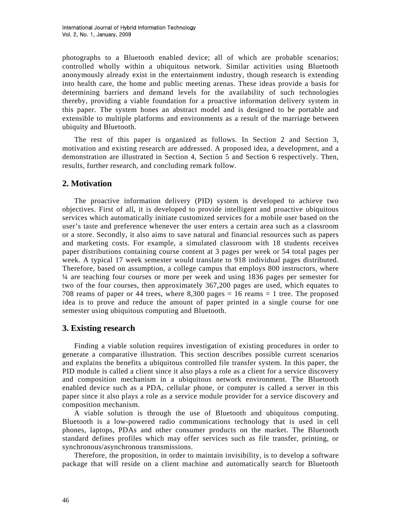photographs to a Bluetooth enabled device; all of which are probable scenarios; controlled wholly within a ubiquitous network. Similar activities using Bluetooth anonymously already exist in the entertainment industry, though research is extending into health care, the home and public meeting arenas. These ideas provide a basis for determining barriers and demand levels for the availability of such technologies thereby, providing a viable foundation for a proactive information delivery system in this paper. The system hones an abstract model and is designed to be portable and extensible to multiple platforms and environments as a result of the marriage between ubiquity and Bluetooth.

The rest of this paper is organized as follows. In Section 2 and Section 3, motivation and existing research are addressed. A proposed idea, a development, and a demonstration are illustrated in Section 4, Section 5 and Section 6 respectively. Then, results, further research, and concluding remark follow.

# **2. Motivation**

The proactive information delivery (PID) system is developed to achieve two objectives. First of all, it is developed to provide intelligent and proactive ubiquitous services which automatically initiate customized services for a mobile user based on the user's taste and preference whenever the user enters a certain area such as a classroom or a store. Secondly, it also aims to save natural and financial resources such as papers and marketing costs. For example, a simulated classroom with 18 students receives paper distributions containing course content at 3 pages per week or 54 total pages per week. A typical 17 week semester would translate to 918 individual pages distributed. Therefore, based on assumption, a college campus that employs 800 instructors, where ¼ are teaching four courses or more per week and using 1836 pages per semester for two of the four courses, then approximately 367,200 pages are used, which equates to 708 reams of paper or 44 trees, where 8,300 pages = 16 reams = 1 tree. The proposed idea is to prove and reduce the amount of paper printed in a single course for one semester using ubiquitous computing and Bluetooth.

# **3. Existing research**

Finding a viable solution requires investigation of existing procedures in order to generate a comparative illustration. This section describes possible current scenarios and explains the benefits a ubiquitous controlled file transfer system. In this paper, the PID module is called a client since it also plays a role as a client for a service discovery and composition mechanism in a ubiquitous network environment. The Bluetooth enabled device such as a PDA, cellular phone, or computer is called a server in this paper since it also plays a role as a service module provider for a service discovery and composition mechanism.

A viable solution is through the use of Bluetooth and ubiquitous computing. Bluetooth is a low-powered radio communications technology that is used in cell phones, laptops, PDAs and other consumer products on the market. The Bluetooth standard defines profiles which may offer services such as file transfer, printing, or synchronous/asynchronous transmissions.

Therefore, the proposition, in order to maintain invisibility, is to develop a software package that will reside on a client machine and automatically search for Bluetooth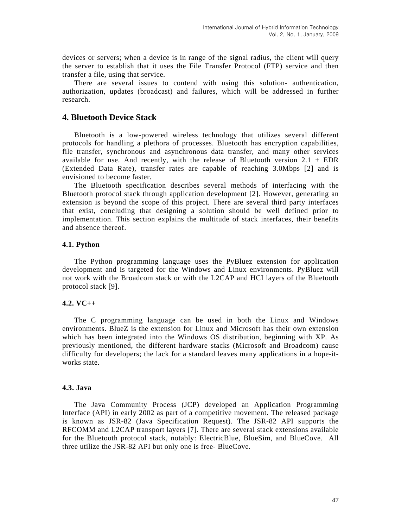devices or servers; when a device is in range of the signal radius, the client will query the server to establish that it uses the File Transfer Protocol (FTP) service and then transfer a file, using that service.

There are several issues to contend with using this solution- authentication, authorization, updates (broadcast) and failures, which will be addressed in further research.

# **4. Bluetooth Device Stack**

Bluetooth is a low-powered wireless technology that utilizes several different protocols for handling a plethora of processes. Bluetooth has encryption capabilities, file transfer, synchronous and asynchronous data transfer, and many other services available for use. And recently, with the release of Bluetooth version  $2.1 + EDR$ (Extended Data Rate), transfer rates are capable of reaching 3.0Mbps [2] and is envisioned to become faster.

The Bluetooth specification describes several methods of interfacing with the Bluetooth protocol stack through application development [2]. However, generating an extension is beyond the scope of this project. There are several third party interfaces that exist, concluding that designing a solution should be well defined prior to implementation. This section explains the multitude of stack interfaces, their benefits and absence thereof.

#### **4.1. Python**

The Python programming language uses the PyBluez extension for application development and is targeted for the Windows and Linux environments. PyBluez will not work with the Broadcom stack or with the L2CAP and HCI layers of the Bluetooth protocol stack [9].

### **4.2. VC++**

The C programming language can be used in both the Linux and Windows environments. BlueZ is the extension for Linux and Microsoft has their own extension which has been integrated into the Windows OS distribution, beginning with XP. As previously mentioned, the different hardware stacks (Microsoft and Broadcom) cause difficulty for developers; the lack for a standard leaves many applications in a hope-itworks state.

#### **4.3. Java**

The Java Community Process (JCP) developed an Application Programming Interface (API) in early 2002 as part of a competitive movement. The released package is known as JSR-82 (Java Specification Request). The JSR-82 API supports the RFCOMM and L2CAP transport layers [7]. There are several stack extensions available for the Bluetooth protocol stack, notably: ElectricBlue, BlueSim, and BlueCove. All three utilize the JSR-82 API but only one is free- BlueCove.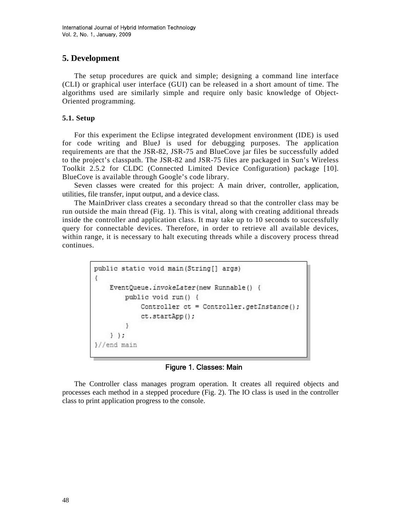# **5. Development**

The setup procedures are quick and simple; designing a command line interface (CLI) or graphical user interface (GUI) can be released in a short amount of time. The algorithms used are similarly simple and require only basic knowledge of Object-Oriented programming.

## **5.1. Setup**

For this experiment the Eclipse integrated development environment (IDE) is used for code writing and BlueJ is used for debugging purposes. The application requirements are that the JSR-82, JSR-75 and BlueCove jar files be successfully added to the project's classpath. The JSR-82 and JSR-75 files are packaged in Sun's Wireless Toolkit 2.5.2 for CLDC (Connected Limited Device Configuration) package [10]. BlueCove is available through Google's code library.

Seven classes were created for this project: A main driver, controller, application, utilities, file transfer, input output, and a device class.

The MainDriver class creates a secondary thread so that the controller class may be run outside the main thread (Fig. 1). This is vital, along with creating additional threads inside the controller and application class. It may take up to 10 seconds to successfully query for connectable devices. Therefore, in order to retrieve all available devices, within range, it is necessary to halt executing threads while a discovery process thread continues.

```
public static void main (String[] args)
€
    EventQueue.invokeLater(new Runnable() {
        public void run() {
            Controller ct = Controller.getInstance();
            ct.startApp();
        \,\});
}//end main
```
## Figure 1. Classes: Main

The Controller class manages program operation. It creates all required objects and processes each method in a stepped procedure (Fig. 2). The IO class is used in the controller class to print application progress to the console.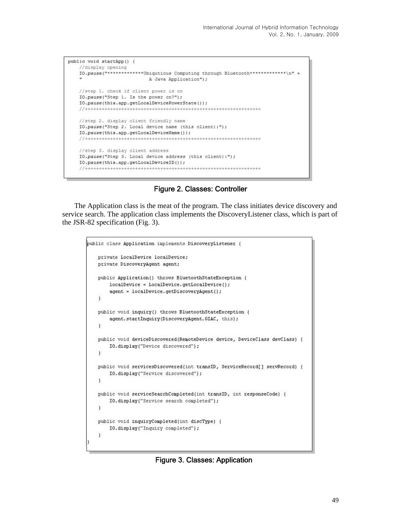```
public void startApp() {
  //display opening
  IO.pause("***************Ubiqutious Computing through Bluetooth*************\n" +
                    A Java Application");
  //step 1. check if client power is on
  IO.pause("Step 1. Is the power on?");
  IO.pause(this.app.getLocalDevicePowerState());
  //step 2. display client friendly name
  IO.pause("Step 2. Local device name (this client):");
  IO.pause(this.app.getLocalDeviceName());
  //step 3. display client address
  IO.pause("Step 3. Local device address (this client):");
  IO.pause(this.app.getLocalDeviceID());
```
Figure 2. Classes: Controller

The Application class is the meat of the program. The class initiates device discovery and service search. The application class implements the DiscoveryListener class, which is part of the JSR-82 specification (Fig. 3).

```
public class Application implements DiscoveryListener {
    private LocalDevice localDevice;
   private DiscoveryAgent agent;
   public Application() throws BluetoothStateException {
        localDevice = LocalDevice.getLocalDevice();
        agent = localDevice.getDiscoveryAgent();
    \mathbf{1}public void inquiry() throws BluetoothStateException {
        agent.startInquiry(DiscoveryAgent.GIAC, this);
    \overline{)}public void deviceDiscovered(RemoteDevice device, DeviceClass devClass) {
        IO.display("Device discovered");
    \mathcal{Y}public void servicesDiscovered(int transID, ServiceRecord[] servRecord) {
        IO.display("Service discovered");
    \mathbf{1}public void serviceSearchCompleted(int transID, int responseCode) {
        IO.display("Service search completed");
    \,public void inquiryCompleted(int discType) {
        IO.display("Inquiry completed");
    -1
```
Figure 3. Classes: Application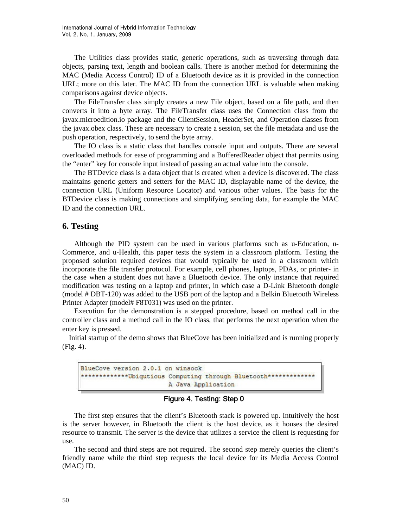The Utilities class provides static, generic operations, such as traversing through data objects, parsing text, length and boolean calls. There is another method for determining the MAC (Media Access Control) ID of a Bluetooth device as it is provided in the connection URL; more on this later. The MAC ID from the connection URL is valuable when making comparisons against device objects.

The FileTransfer class simply creates a new File object, based on a file path, and then converts it into a byte array. The FileTransfer class uses the Connection class from the javax.microedition.io package and the ClientSession, HeaderSet, and Operation classes from the javax.obex class. These are necessary to create a session, set the file metadata and use the push operation, respectively, to send the byte array.

The IO class is a static class that handles console input and outputs. There are several overloaded methods for ease of programming and a BufferedReader object that permits using the "enter" key for console input instead of passing an actual value into the console.

The BTDevice class is a data object that is created when a device is discovered. The class maintains generic getters and setters for the MAC ID, displayable name of the device, the connection URL (Uniform Resource Locator) and various other values. The basis for the BTDevice class is making connections and simplifying sending data, for example the MAC ID and the connection URL.

# **6. Testing**

Although the PID system can be used in various platforms such as u-Education, u-Commerce, and u-Health, this paper tests the system in a classroom platform. Testing the proposed solution required devices that would typically be used in a classroom which incorporate the file transfer protocol. For example, cell phones, laptops, PDAs, or printer- in the case when a student does not have a Bluetooth device. The only instance that required modification was testing on a laptop and printer, in which case a D-Link Bluetooth dongle (model # DBT-120) was added to the USB port of the laptop and a Belkin Bluetooth Wireless Printer Adapter (model# F8T031) was used on the printer.

Execution for the demonstration is a stepped procedure, based on method call in the controller class and a method call in the IO class, that performs the next operation when the enter key is pressed.

Initial startup of the demo shows that BlueCove has been initialized and is running properly (Fig. 4).

```
BlueCove version 2.0.1 on winsock
**************Ubiqutious Computing through Bluetooth*************
                        A Java Application
```
#### Figure 4. Testing: Step 0

The first step ensures that the client's Bluetooth stack is powered up. Intuitively the host is the server however, in Bluetooth the client is the host device, as it houses the desired resource to transmit. The server is the device that utilizes a service the client is requesting for use.

The second and third steps are not required. The second step merely queries the client's friendly name while the third step requests the local device for its Media Access Control (MAC) ID.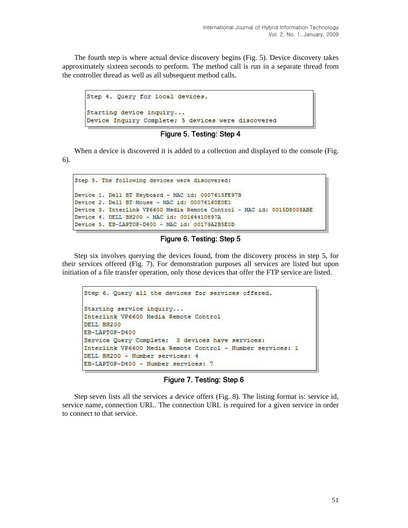The fourth step is where actual device discovery begins (Fig. 5). Device discovery takes approximately sixteen seconds to perform. The method call is run in a separate thread from the controller thread as well as all subsequent method calls.

```
Step 4. Query for local devices.
Starting device inquiry...
Device Inquiry Complete; 5 devices were discovered
```
#### Figure 5. Testing: Step 4

When a device is discovered it is added to a collection and displayed to the console (Fig. 6).

```
Step 5. The following devices were discovered:
Device 1. Dell BT Keyboard - MAC id: 0007615FE97B
Device 2. Dell BT Mouse - MAC id: 00076160E0E1
Device 3. Interlink VP6600 Media Remote Control - MAC id: 0015D8008ABE
Device 4. DELL BH200 - MAC id: 00164410897A
Device 5. EB-LAPTOP-D400 - MAC id: 00179A2B5E0D
```
### Figure 6. Testing: Step 5

Step six involves querying the devices found, from the discovery process in step 5, for their services offered (Fig. 7). For demonstration purposes all services are listed but upon initiation of a file transfer operation, only those devices that offer the FTP service are listed.

```
Step 6. Query all the devices for services offered.
Starting service inquiry...
Interlink VP6600 Media Remote Control
DELL BH200
EB-LAPTOP-D400
Service Query Complete; 3 devices have services:
Interlink VP6600 Media Remote Control - Number services: 1
DELL BH200 - Number services: 4
EB-LAPTOP-D400 - Number services: 7
```
## Figure 7. Testing: Step 6

Step seven lists all the services a device offers (Fig. 8). The listing format is: service id, service name, connection URL. The connection URL is required for a given service in order to connect to that service.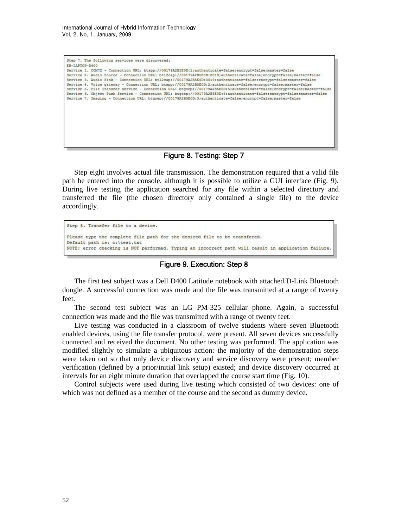|                | Step 7. The following services were discovered:                                                                          |
|----------------|--------------------------------------------------------------------------------------------------------------------------|
| EB-LAPTOP-D400 |                                                                                                                          |
|                | Service 1. COM7D - Connection URL: btspp://00179A2B5E0D:1;authenticate=false;encrypt=false;master=false                  |
|                | Service 2. Audio Source - Connection URL: btl2cap://00179A2B5E0D:0019;authenticate=false;encrypt=false;master=false      |
|                | Service 3. Audio Sink - Connection URL: bt12cap://00179A2B5E0D:0019;authenticate=false;encrypt=false;master=false        |
|                | Service 4. Voice gateway - Connection URL: btspp://00179A2B5EOD:2;authenticate=false:encrypt=false:master=false          |
|                | Service 5. File Transfer Service - Connection URL: btgoep://00179A2B5E0D:5;authenticate=false;encrypt=false;master=false |
|                | Service 6. Object Push Service - Connection URL: btgoep://00179A2B5E0D:4;authenticate=false;encrypt=false;master=false   |
|                | Service 7. Imaging - Connection URL: btgoep://00179A2B5E0D:3;authenticate=false:encrypt=false:master=false               |
|                |                                                                                                                          |
|                |                                                                                                                          |
|                |                                                                                                                          |
|                |                                                                                                                          |
|                |                                                                                                                          |
|                |                                                                                                                          |
|                |                                                                                                                          |
|                |                                                                                                                          |
|                |                                                                                                                          |
|                |                                                                                                                          |

Figure 8. Testing: Step 7

Step eight involves actual file transmission. The demonstration required that a valid file path be entered into the console, although it is possible to utilize a GUI interface (Fig. 9). During live testing the application searched for any file within a selected directory and transferred the file (the chosen directory only contained a single file) to the device accordingly.

```
Step 8. Transfer file to a device.
Please type the complete file path for the desired file to be transfered.
Default path is: c:\test.txt
NOTE: error checking is NOT performed. Typing an incorrect path will result in application failure.
```
# Figure 9. Execution: Step 8

The first test subject was a Dell D400 Latitude notebook with attached D-Link Bluetooth dongle. A successful connection was made and the file was transmitted at a range of twenty feet.

The second test subject was an LG PM-325 cellular phone. Again, a successful connection was made and the file was transmitted with a range of twenty feet.

Live testing was conducted in a classroom of twelve students where seven Bluetooth enabled devices, using the file transfer protocol, were present. All seven devices successfully connected and received the document. No other testing was performed. The application was modified slightly to simulate a ubiquitous action: the majority of the demonstration steps were taken out so that only device discovery and service discovery were present; member verification (defined by a prior/initial link setup) existed; and device discovery occurred at intervals for an eight minute duration that overlapped the course start time (Fig. 10).

Control subjects were used during live testing which consisted of two devices: one of which was not defined as a member of the course and the second as dummy device.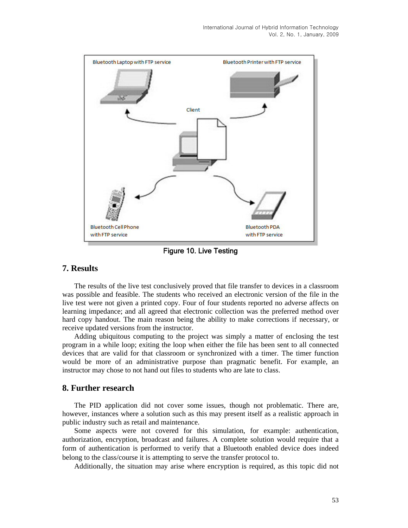

Figure 10. Live Testing

# **7. Results**

The results of the live test conclusively proved that file transfer to devices in a classroom was possible and feasible. The students who received an electronic version of the file in the live test were not given a printed copy. Four of four students reported no adverse affects on learning impedance; and all agreed that electronic collection was the preferred method over hard copy handout. The main reason being the ability to make corrections if necessary, or receive updated versions from the instructor.

Adding ubiquitous computing to the project was simply a matter of enclosing the test program in a while loop; exiting the loop when either the file has been sent to all connected devices that are valid for that classroom or synchronized with a timer. The timer function would be more of an administrative purpose than pragmatic benefit. For example, an instructor may chose to not hand out files to students who are late to class.

# **8. Further research**

The PID application did not cover some issues, though not problematic. There are, however, instances where a solution such as this may present itself as a realistic approach in public industry such as retail and maintenance.

Some aspects were not covered for this simulation, for example: authentication, authorization, encryption, broadcast and failures. A complete solution would require that a form of authentication is performed to verify that a Bluetooth enabled device does indeed belong to the class/course it is attempting to serve the transfer protocol to.

Additionally, the situation may arise where encryption is required, as this topic did not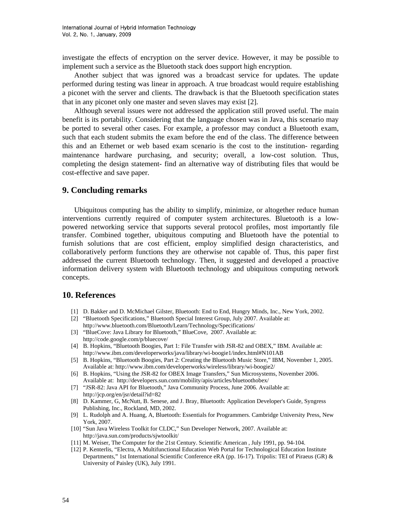investigate the effects of encryption on the server device. However, it may be possible to implement such a service as the Bluetooth stack does support high encryption.

Another subject that was ignored was a broadcast service for updates. The update performed during testing was linear in approach. A true broadcast would require establishing a piconet with the server and clients. The drawback is that the Bluetooth specification states that in any piconet only one master and seven slaves may exist [2].

Although several issues were not addressed the application still proved useful. The main benefit is its portability. Considering that the language chosen was in Java, this scenario may be ported to several other cases. For example, a professor may conduct a Bluetooth exam, such that each student submits the exam before the end of the class. The difference between this and an Ethernet or web based exam scenario is the cost to the institution- regarding maintenance hardware purchasing, and security; overall, a low-cost solution. Thus, completing the design statement- find an alternative way of distributing files that would be cost-effective and save paper.

## **9. Concluding remarks**

Ubiquitous computing has the ability to simplify, minimize, or altogether reduce human interventions currently required of computer system architectures. Bluetooth is a lowpowered networking service that supports several protocol profiles, most importantly file transfer. Combined together, ubiquitous computing and Bluetooth have the potential to furnish solutions that are cost efficient, employ simplified design characteristics, and collaboratively perform functions they are otherwise not capable of. Thus, this paper first addressed the current Bluetooth technology. Then, it suggested and developed a proactive information delivery system with Bluetooth technology and ubiquitous computing network concepts.

### **10. References**

- [1] D. Bakker and D. McMichael Gilster, Bluetooth: End to End, Hungry Minds, Inc., New York, 2002.
- [2] "Bluetooth Specifications," Bluetooth Special Interest Group, July 2007. Available at: http://www.bluetooth.com/Bluetooth/Learn/Technology/Specifications/
- [3] "BlueCove: Java Library for Bluetooth," BlueCove, 2007. Available at: http://code.google.com/p/bluecove/
- [4] B. Hopkins, "Bluetooth Boogies, Part 1: File Transfer with JSR-82 and OBEX," IBM. Available at: http://www.ibm.com/developerworks/java/library/wi-boogie1/index.html#N101AB
- [5] B. Hopkins, "Bluetooth Boogies, Part 2: Creating the Bluetooth Music Store," IBM, November 1, 2005. Available at: http://www.ibm.com/developerworks/wireless/library/wi-boogie2/
- [6] B. Hopkins, "Using the JSR-82 for OBEX Image Transfers," Sun Microsystems, November 2006. Available at: http://developers.sun.com/mobility/apis/articles/bluetoothobex/
- [7] "JSR-82: Java API for Bluetooth," Java Community Process, June 2006. Available at: http://jcp.org/en/jsr/detail?id=82
- [8] D. Kammer, G, McNutt, B. Senese, and J. Bray, Bluetooth: Application Developer's Guide, Syngress Publishing, Inc., Rockland, MD, 2002.
- [9] L. Rudolph and A. Huang, A, Bluetooth: Essentials for Programmers. Cambridge University Press, New York, 2007.
- [10] "Sun Java Wireless Toolkit for CLDC," Sun Developer Network, 2007. Available at: http://java.sun.com/products/sjwtoolkit/
- [11] M. Weiser, The Computer for the 21st Century. Scientific American , July 1991, pp. 94-104.
- [12] P. Kenterlis, "Electra, A Multifunctional Education Web Portal for Technological Education Institute Departments," 1st International Scientific Conference eRA (pp. 16-17). Tripolis: TEI of Piraeus (GR) & University of Paisley (UK), July 1991.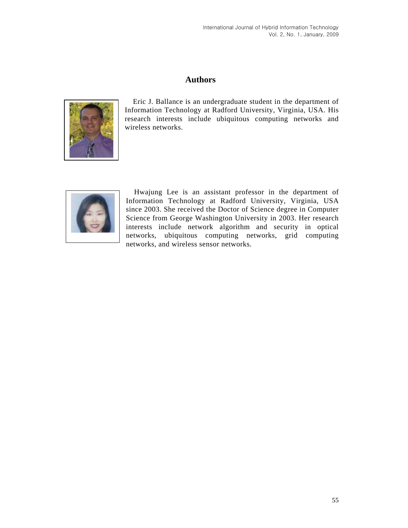# **Authors**



Eric J. Ballance is an undergraduate student in the department of Information Technology at Radford University, Virginia, USA. His research interests include ubiquitous computing networks and wireless networks.



Hwajung Lee is an assistant professor in the department of Information Technology at Radford University, Virginia, USA since 2003. She received the Doctor of Science degree in Computer Science from George Washington University in 2003. Her research interests include network algorithm and security in optical networks, ubiquitous computing networks, grid computing networks, and wireless sensor networks.